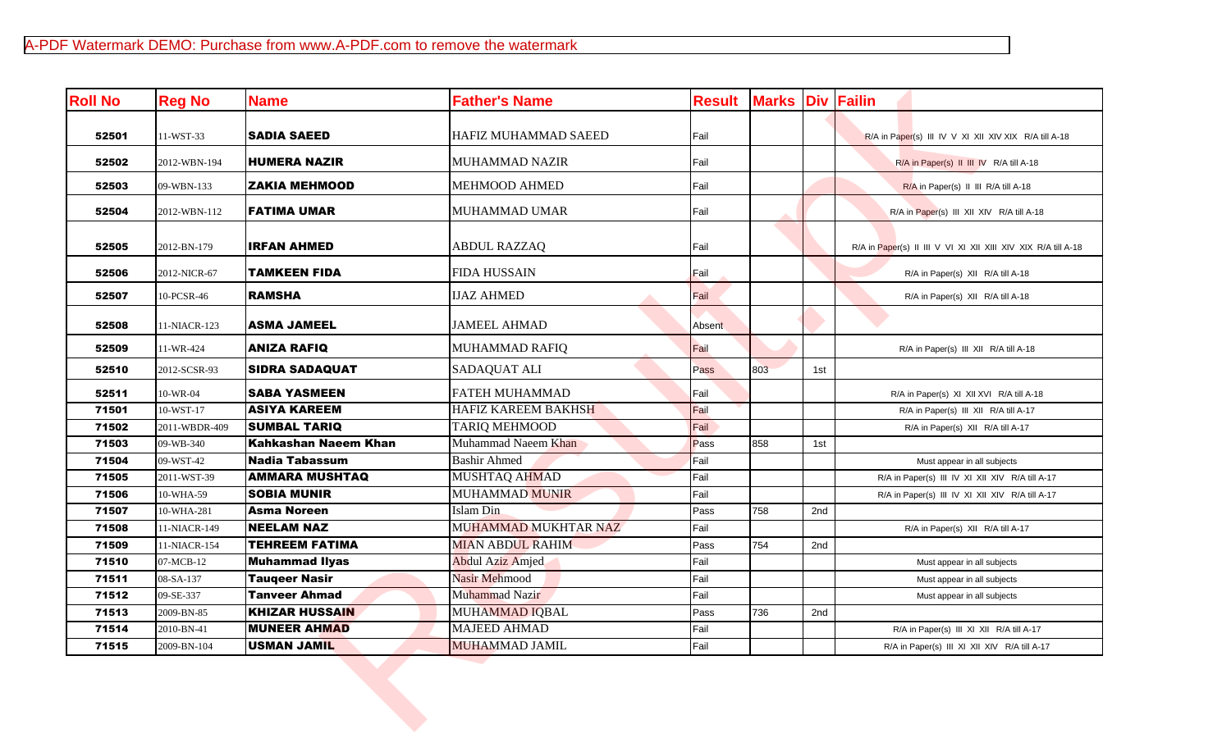| <b>Roll No</b> | <b>Reg No</b> | <b>Name</b>           | <b>Father's Name</b>       | <b>Result</b> | <b>Marks Div Failin</b> |     |                                                               |
|----------------|---------------|-----------------------|----------------------------|---------------|-------------------------|-----|---------------------------------------------------------------|
| 52501          | 11-WST-33     | <b>SADIA SAEED</b>    | HAFIZ MUHAMMAD SAEED       | Fail          |                         |     | R/A in Paper(s) III IV V XI XII XIV XIX R/A till A-18         |
| 52502          | 2012-WBN-194  | <b>HUMERA NAZIR</b>   | <b>MUHAMMAD NAZIR</b>      | Fail          |                         |     | R/A in Paper(s) II III IV R/A till A-18                       |
| 52503          | 09-WBN-133    | <b>ZAKIA MEHMOOD</b>  | <b>MEHMOOD AHMED</b>       | Fail          |                         |     | R/A in Paper(s) II III R/A till A-18                          |
| 52504          | 2012-WBN-112  | <b>FATIMA UMAR</b>    | MUHAMMAD UMAR              | Fail          |                         |     | R/A in Paper(s) III XII XIV R/A till A-18                     |
| 52505          | 2012-BN-179   | <b>IRFAN AHMED</b>    | <b>ABDUL RAZZAQ</b>        | Fail          |                         |     | R/A in Paper(s) II III V VI XI XII XIII XIV XIX R/A till A-18 |
| 52506          | 2012-NICR-67  | TAMKEEN FIDA          | <b>FIDA HUSSAIN</b>        | Fail          |                         |     | R/A in Paper(s) XII R/A till A-18                             |
| 52507          | 10-PCSR-46    | <b>RAMSHA</b>         | <b>IJAZ AHMED</b>          | Fail          |                         |     | R/A in Paper(s) XII R/A till A-18                             |
| 52508          | 11-NIACR-123  | <b>ASMA JAMEEL</b>    | <b>JAMEEL AHMAD</b>        | Absent        |                         |     |                                                               |
| 52509          | 11-WR-424     | <b>ANIZA RAFIQ</b>    | <b>MUHAMMAD RAFIQ</b>      | Fail          |                         |     | R/A in Paper(s) III XII R/A till A-18                         |
| 52510          | 2012-SCSR-93  | <b>SIDRA SADAQUAT</b> | <b>SADAQUAT ALI</b>        | Pass          | 803                     | 1st |                                                               |
| 52511          | 10-WR-04      | <b>SABA YASMEEN</b>   | <b>FATEH MUHAMMAD</b>      | Fail          |                         |     | R/A in Paper(s) XI XII XVI R/A till A-18                      |
| 71501          | 10-WST-17     | <b>ASIYA KAREEM</b>   | <b>HAFIZ KAREEM BAKHSH</b> | Fail          |                         |     | R/A in Paper(s) III XII R/A till A-17                         |
| 71502          | 2011-WBDR-409 | <b>SUMBAL TARIQ</b>   | <b>TARIQ MEHMOOD</b>       | Fail          |                         |     | R/A in Paper(s) XII R/A till A-17                             |
| 71503          | 09-WB-340     | Kahkashan Naeem Khan  | Muhammad Naeem Khan        | Pass          | 858                     | 1st |                                                               |
| 71504          | 09-WST-42     | <b>Nadia Tabassum</b> | <b>Bashir Ahmed</b>        | Fail          |                         |     | Must appear in all subjects                                   |
| 71505          | 2011-WST-39   | <b>AMMARA MUSHTAQ</b> | MUSHTAQ AHMAD              | Fail          |                         |     | R/A in Paper(s) III IV XI XII XIV R/A till A-17               |
| 71506          | 10-WHA-59     | <b>SOBIA MUNIR</b>    | <b>MUHAMMAD MUNIR</b>      | Fail          |                         |     | R/A in Paper(s) III IV XI XII XIV R/A till A-17               |
| 71507          | 10-WHA-281    | <b>Asma Noreen</b>    | Islam Din                  | Pass          | 758                     | 2nd |                                                               |
| 71508          | 11-NIACR-149  | <b>NEELAM NAZ</b>     | MUHAMMAD MUKHTAR NAZ       | Fail          |                         |     | R/A in Paper(s) XII R/A till A-17                             |
| 71509          | 11-NIACR-154  | <b>TEHREEM FATIMA</b> | <b>MIAN ABDUL RAHIM</b>    | Pass          | 754                     | 2nd |                                                               |
| 71510          | 07-MCB-12     | <b>Muhammad Ilyas</b> | <b>Abdul Aziz Amjed</b>    | Fail          |                         |     | Must appear in all subjects                                   |
| 71511          | 08-SA-137     | <b>Tauqeer Nasir</b>  | <b>Nasir Mehmood</b>       | Fail          |                         |     | Must appear in all subjects                                   |
| 71512          | 09-SE-337     | <b>Tanveer Ahmad</b>  | Muhammad Nazir             | Fail          |                         |     | Must appear in all subjects                                   |
| 71513          | 2009-BN-85    | <b>KHIZAR HUSSAIN</b> | MUHAMMAD IQBAL             | Pass          | 736                     | 2nd |                                                               |
| 71514          | 2010-BN-41    | <b>MUNEER AHMAD</b>   | <b>MAJEED AHMAD</b>        | Fail          |                         |     | R/A in Paper(s) III XI XII R/A till A-17                      |
| 71515          | 2009-BN-104   | <b>USMAN JAMIL</b>    | <b>MUHAMMAD JAMIL</b>      | Fail          |                         |     | R/A in Paper(s) III XI XII XIV R/A till A-17                  |